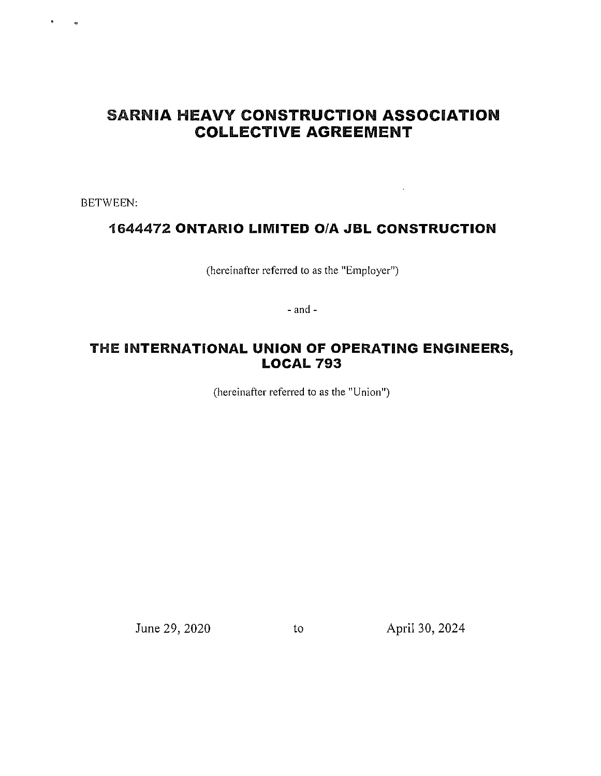# SARNIA **HEAVY CONSTRUCTION ASSOCIATION COLLECTIVE AGREEMENT**

BETWEEN:

## **1644472 ONTARIO LIMITED O/A JBL CONSTRUCTION**

(hereinafter referred to as the "Employer")

- and -

## THE **INTERNATIONAL UNION OF OPERATING ENGINEERS, LOCAL 793**

(hereinafter referred to as the "Union")

June 29, 2020 to April 30, 2024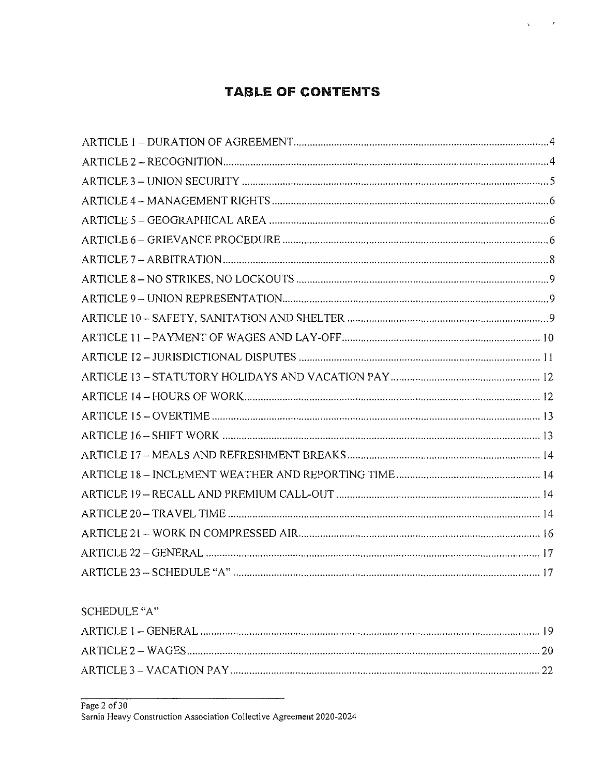# **TABLE OF CONTENTS**

 $\boldsymbol{r}$ 

¥.

SCHEDULE "A"

Page 2 of 30<br>Sarnia Heavy Construction Association Collective Agreement 2020-2024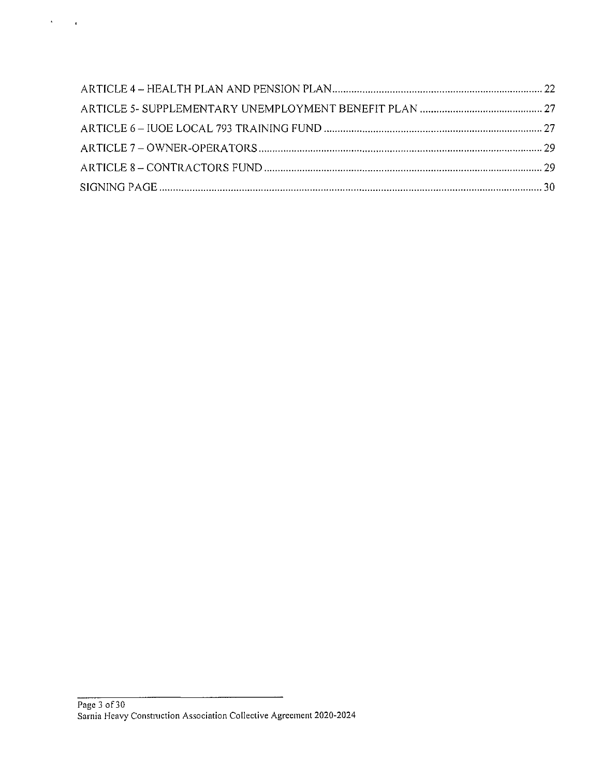$\lambda_{\rm{max}}$  ,  $\lambda_{\rm{max}}$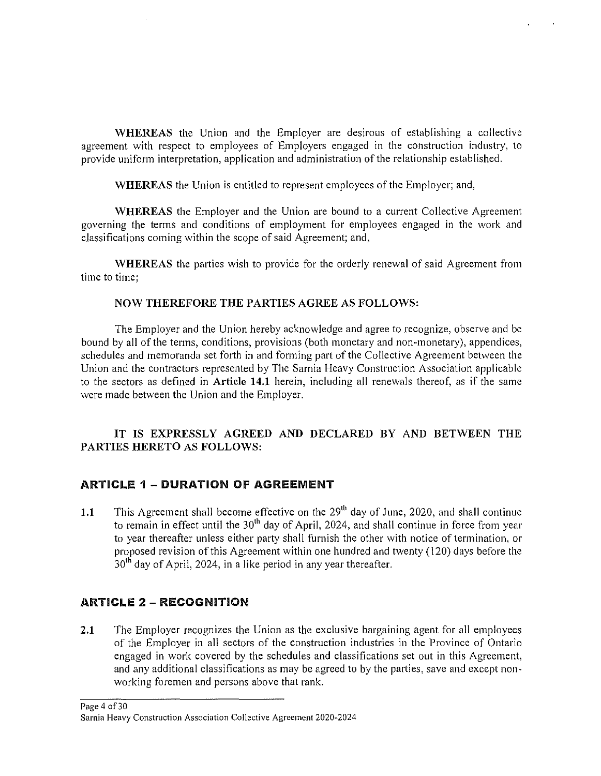WHEREAS the Union and the Employer are desirous of establishing a collective agreement with respect to employees of Employers engaged in the construction industry, to provide uniform interpretation, application and administration of the relationship established.

WHEREAS the Union is entitled to represent employees of the Employer; and,

WHEREAS the Employer and the Union are bound to a current Collective Agreement governing the terms and conditions of employment for employees engaged in the work and classifications coming within the scope of said Agreement; and,

WHEREAS the parties wish to provide for the orderly renewal of said Agreement from time to time;

#### NOW THEREFORE THE PARTIES AGREE AS FOLLOWS:

The Employer and the Union hereby acknowledge and agree to recognize, observe and be bound by all of the terms, conditions, provisions (both monetary and non-monetary), appendices, schedules and memoranda set forth in and forming part of the Collective Agreement between the Union and the contractors represented by The Sarnia Heavy Construction Association applicable to the sectors as defined in Article **14.1** herein, including all renewals thereof, as if the same were made between the Union and the Employer.

#### IT IS EXPRESSLY AGREED AND DECLARED BY AND BETWEEN THE PARTIES HERETO AS FOLLOWS:

#### ARTICLE 1 - DURATION OF AGREEMENT

1.1 This Agreement shall become effective on the  $29<sup>th</sup>$  day of June, 2020, and shall continue to remain in effect until the  $30<sup>th</sup>$  day of April, 2024, and shall continue in force from year to year thereafter unless either party shall furnish the other with notice of termination, or proposed revision of this Agreement within one hundred and twenty ( 120) days before the  $30<sup>th</sup>$  day of April, 2024, in a like period in any year thereafter.

#### ARTICLE 2 - RECOGNITION

2.1 The Employer recognizes the Union as the exclusive bargaining agent for all employees of the Employer in all sectors of the construction industries in the Province of Ontario engaged in work covered by the schedules and classifications set out in this Agreement, and any additional classifications as may be agreed to by the patties, save and except nonworking foremen and persons above that rank.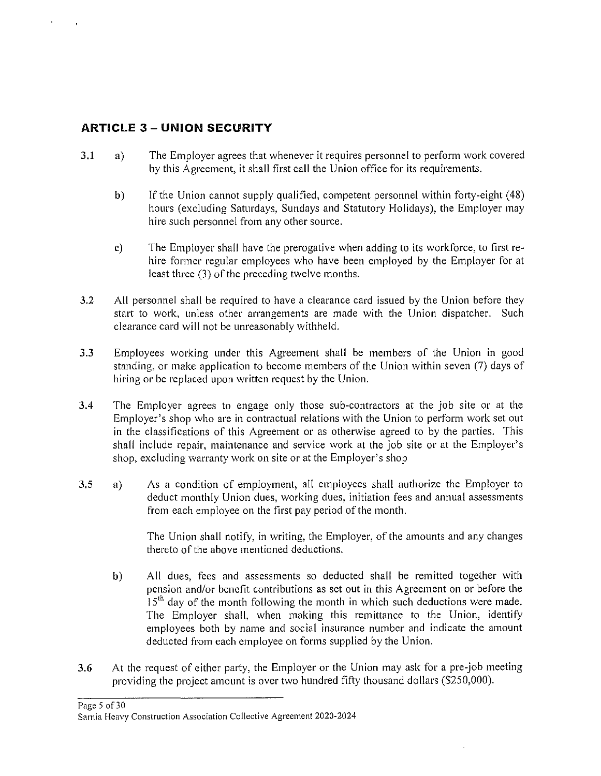## **ARTICLE 3 - UNION SECURITY**

- 3.1 a) The Employer agrees that whenever it requires personnel to perform work covered by this Agreement, it shall first call the Union office for its requirements.
	- b) If the Union cannot supply qualified, competent personnel within forty-eight (48) hours (excluding Saturdays, Sundays and Statutory Holidays), the Employer may hire such personnel from any other source.
	- c) The Employer shall have the prerogative when adding to its workforce, to first rehire former regular employees who have been employed by the Employer for at least three (3) of the preceding twelve months.
- 3.2 All personnel shall be required to have a clearance card issued by the Union before they start to work, unless other arrangements are made with the Union dispatcher. Such clearance card will not be unreasonably withheld.
- 3.3 Employees working under this Agreement shall be members of the Union in good standing, or make application to become members of the Union within seven (7) days of hiring or be replaced upon written request by the Union.
- 3.4 The Employer agrees to engage only those sub-contractors at the job site or at the Employer's shop who are in contractual relations with the Union to perform work set out in the classifications of this Agreement or as otherwise agreed to by the parties. This shall include repair, maintenance and service work at the job site or at the Employer's shop, excluding warranty work on site or at the Employer's shop
- 3.5 a) As a condition of employment, all employees shall authorize the Employer to deduct monthly Union dues, working dues, initiation fees and annual assessments from each employee on the first pay period of the month.

The Union shall notify, in writing, the Employer, of the amounts and any changes thereto of the above mentioned deductions.

- b) All dues, fees and assessments so deducted shall be remitted together with pension and/or benefit contributions as set out in this Agreement on or before the  $15<sup>th</sup>$  day of the month following the month in which such deductions were made. The Employer shall, when making this remittance to the Union, identify employees both by name and social insurance number and indicate the amount deducted from each employee on forms supplied by the Union.
- 3.6 At the request of either party, the Employer or the Union may ask for a pre-job meeting providing the project amount is over two hundred fifty thousand dollars (\$250,000).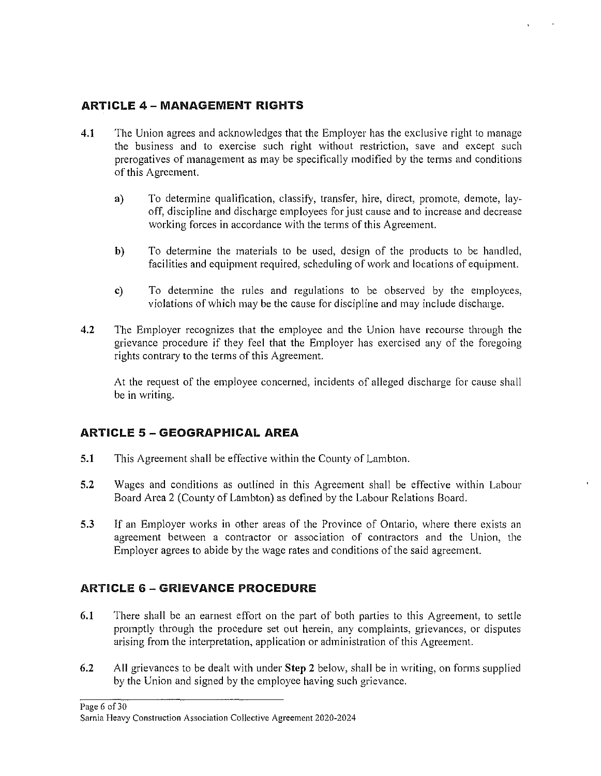#### ARTICLE 4 - MANAGEMENT RIGHTS

- 4.1 The Union agrees and acknowledges that the Employer has the exclusive right to manage the business and to exercise such right without restriction, save and except such prerogatives of management as may be specifically modified by the terms and conditions of this Agreement.
	- a) To determine qualification, classify, transfer, hire, direct, promote, demote, layoff, discipline and discharge employees for just cause and to increase and decrease working forces in accordance with the terms of this Agreement.
	- b) To determine the materials to be used, design of the products to be handled, facilities and equipment required, scheduling of work and locations of equipment.
	- c) To determine the rules and regulations to be observed by the employees, violations of which may be the cause for discipline and may include discharge.
- 4.2 The Employer recognizes that the employee and the Union have recourse through the grievance procedure if they feel that the Employer has exercised any of the foregoing rights contrary to the terms of this Agreement.

At the request of the employee concerned, incidents of alleged discharge for cause shall be in writing.

#### ARTICLE 5 - GEOGRAPHICAL AREA

- 5.1 This Agreement shall be effective within the County of Lambton.
- 5.2 Wages and conditions as outlined in this Agreement shall be effective within Labour Board Area 2 (County of Lambton) as defined by the Labour Relations Board.
- 5.3 If an Employer works in other areas of the Province of Ontario, where there exists an agreement between a contractor or association of contractors and the Union, the Employer agrees to abide by the wage rates and conditions of the said agreement.

#### **ARTICLE 6 - GRIEVANCE PROCEDURE**

- 6.1 There shall be an earnest effort on the part of both parties to this Agreement, to settle promptly through the procedure set out herein, any complaints, grievances, or disputes arising from the interpretation, application or administration of this Agreement.
- 6.2 All grievances to be dealt with under Step 2 below, shall be in writing, on forms supplied by the Union and signed by the employee having such grievance.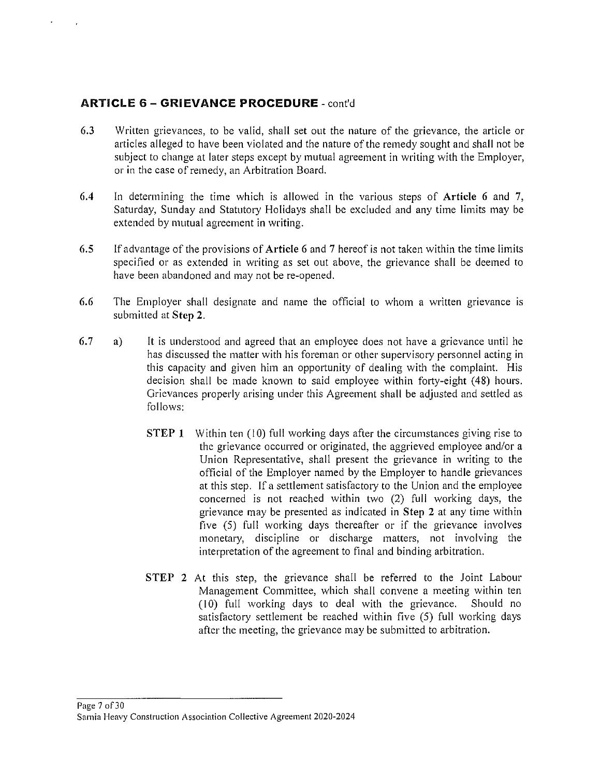#### **ARTICLE 6 - GRIEVANCE PROCEDURE-** cont'd

- 6.3 Written grievances, to be valid, shall set out the nature of the grievance, the article or articles alleged to have been violated and the nature of the remedy sought and shall not be subject to change at later steps except by mutual agreement in writing with the Employer, or in the case of remedy, an Arbitration Board.
- 6.4 In determining the time which is allowed in the various steps of **Article 6** and 7, Saturday, Sunday and Statutory Holidays shall be excluded and any time limits may be extended by mutual agreement in writing.
- 6.5 If advantage of the provisions of **Article** 6 and 7 hereof is not taken within the time limits specified or as extended in writing as set out above, the grievance shall be deemed to have been abandoned and may not be re-opened.
- 6.6 The Employer shall designate and name the official to whom a written grievance 1s submitted at **Step 2.**
- 6.7 **a)**  It is understood and agreed that an employee does not have a grievance until he has discussed the matter with his foreman or other supervisory personnel acting in this capacity and given him an opportunity of dealing with the complaint. His decision shall be made known to said employee within forty-eight (48) hours. Grievances properly arising under this Agreement shall be adjusted and settled as follows:
	- **STEP 1** Within ten (10) full working days after the circumstances giving rise to the grievance occurred or originated, the aggrieved employee and/or a Union Representative, shall present the grievance in writing to the official of the Employer named by the Employer to handle grievances at this step. If a settlement satisfactory to the Union and the employee concerned is not reached within two (2) full working days, the grievance may be presented as indicated in **Step 2** at any time within five (5) full working days thereafter or if the grievance involves monetary, discipline or discharge matters, not involving the interpretation of the agreement to final and binding arbitration.
	- **STEP 2** At this step, the grievance shall be referred to the Joint Labour Management Committee, which shall convene a meeting within ten  $(10)$  full working days to deal with the grievance. Should no satisfactory settlement be reached within five (5) full working days after the meeting, the grievance may be submitted to arbitration.

#### Page 7 of 30 **Sarnia Heavy Construction Association Collective Agreement 2020-2024**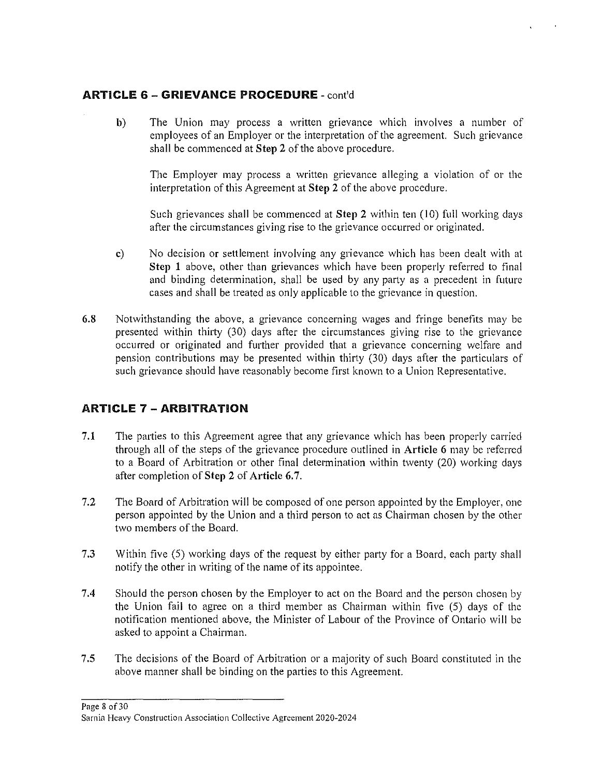#### **ARTICLE 6 - GRIEVANCE PROCEDURE** - cont'd

**b**) The Union may process a written grievance which involves a number of employees of an Employer or the interpretation of the agreement. Such grievance shall be commenced at **Step** 2 of the above procedure.

The Employer may process a written grievance alleging a violation of or the interpretation of this Agreement at **Step** 2 of the above procedure.

Such grievances shall be commenced at **Step** 2 within ten (IO) full working days after the circumstances giving rise to the grievance occurred or originated.

- c) No decision or settlement involving any grievance which has been dealt with at **Step 1** above, other than grievances which have been properly referred to final and binding determination, shall be used by any party as a precedent in future cases and shall be treated as only applicable to the grievance in question.
- 6.8 Notwithstanding the above, a grievance concerning wages and fringe benefits may be presented within thirty (30) days after the circumstances giving rise to the grievance occurred or originated and further provided that a grievance concerning welfare and pension contributions may be presented within thirty (30) days after the particulars of such grievance should have reasonably become first known to a Union Representative.

#### **ARTICLE 7 - ARBITRATION**

- **7.1** The patties to this Agreement agree that any grievance which has been properly carried through all of the steps of the grievance procedure outlined in **Article** 6 may be referred to a Board of Arbitration or other final determination within twenty (20) working days after completion of **Step** 2 of **Article** 6.7.
- 7.2 The Board of Arbitration will be composed of one person appointed by the Employer, one person appointed by the Union and a third person to act as Chairman chosen by the other two members of the Board.
- 7.3 Within five (5) working days of the request by either party for a Board, each party shall notify the other in writing of the name of its appointee.
- 7.4 Should the person chosen by the Employer to act on the Board and the person chosen by the Union fail to agree on a third member as Chairman within five (5) days of the notification mentioned above, the Minister of Labour of the Province of Ontario will be asked to appoint a Chairman.
- 7.5 The decisions of the Board of Arbitration or a majority of such Board constituted in the above manner shall be binding on the parties to this Agreement.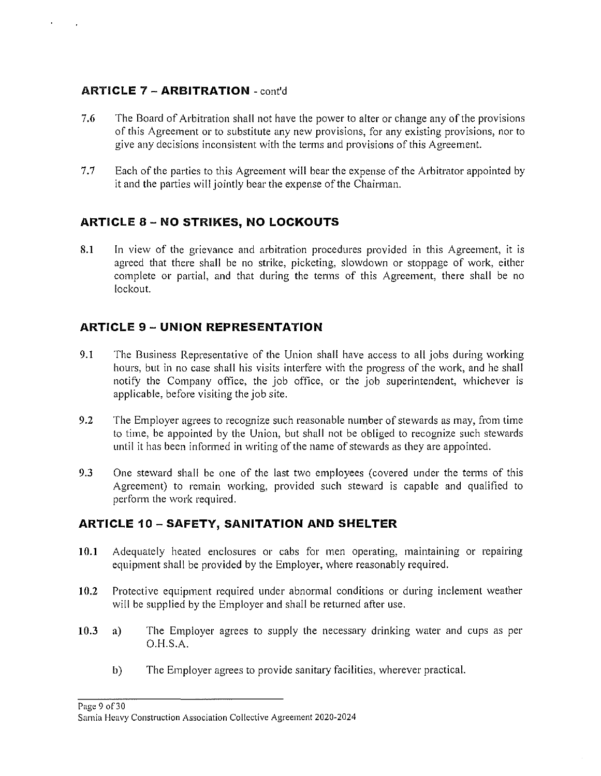#### **ARTICLE** 7 - **ARBITRATION** - cont'd

- 7.6 The Board of Arbitration shall not have the power to alter or change any of the provisions of this Agreement or to substitute any new provisions, for any existing provisions, nor to give any decisions inconsistent with the terms and provisions of this Agreement.
- 7.7 Each of the parties to this Agreement will bear the expense of the Arbitrator appointed by it and the parties will jointly bear the expense of the Chairman.

#### **ARTICLE** 8 - **NO STRIKES, NO LOCKOUTS**

8.1 In view of the grievance and arbitration procedures provided in this Agreement, it is agreed that there shall be no strike, picketing, slowdown or stoppage of work, either complete or partial, and that during the terms of this Agreement, there shall be no lockout.

#### **ARTICLE 9 - UNION REPRESENTATION**

- 9.1 The Business Representative of the Union shall have access to all jobs during working hours, but in no case shall his visits interfere with the progress of the work, and he shall notify the Company office, the job office, or the job superintendent, whichever is applicable, before visiting the job site.
- 9.2 The Employer agrees to recognize such reasonable number of stewards as may, from time to time, be appointed by the Union, but shall not be obliged to recognize such stewards until it has been informed in writing of the name of stewards as they are appointed.
- 9.3 One steward shall be one of the last two employees (covered under the terms of this Agreement) to remain working, provided such steward is capable and qualified to perform the work required.

#### **ARTICLE 10 - SAFETY, SANITATION AND SHELTER**

- 10.1 Adequately heated enclosures or cabs for men operating, maintaining or repairing equipment shall be provided by the Employer, where reasonably required.
- 10.2 Protective equipment required under abnormal conditions or during inclement weather will be supplied by the Employer and shall be returned after use.
- 10.3 a) The Employer agrees to supply the necessary drinking water and cups as per 0.H.S.A.
	- b) The Employer agrees to provide sanitary facilities, wherever practical.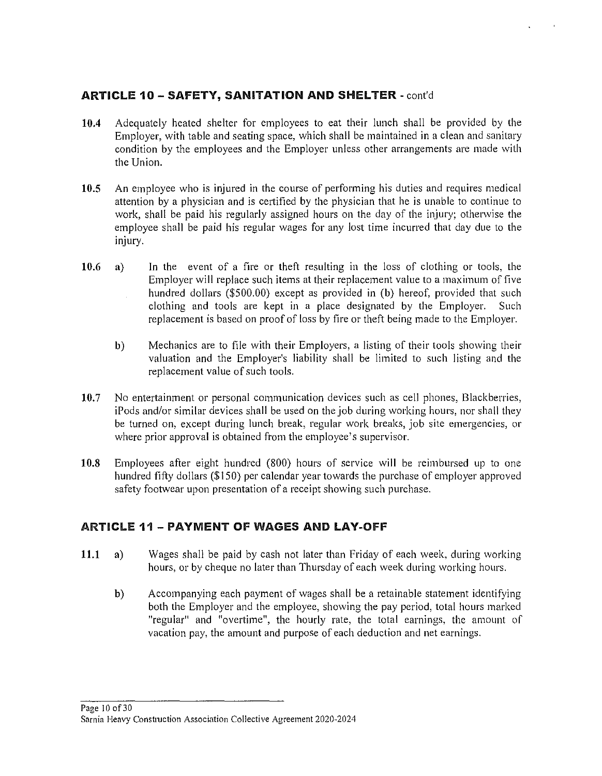#### **ARTICLE 10 - SAFETY, SANITATION AND SHELTER** - cont'd

- **10.4** Adequately heated shelter for employees to eat their lunch shall be provided by the Employer, with table and seating space, which shall be maintained in a clean and sanitary condition by the employees and the Employer unless other arrangements are made with the Union.
- **10.5** An employee who is injured in the course of performing his duties and requires medical attention by a physician and is certified by the physician that he is unable to continue lo work, shall be paid his regularly assigned hours on the day of the injury; otherwise the employee shall be paid his regular wages for any lost time incurred that day due to the injury.
- **10.6 a)** In the event of a fire or theft resulting in the loss of clothing or tools, the Employer will replace such items at their replacement value to a maximum of five hundred dollars (\$500.00) except as provided in **(b)** hereof, provided that such clothing and tools are kept in a place designated by the Employer. Such replacement is based on proof of loss by fire or theft being made to the Employer.
	- **b)** Mechanics are to file with their Employers, a listing of their tools showing their valuation and the Employer's liability shall be limited to such listing and the replacement value of such tools.
- **10.7** No entertainment or personal communication devices such as cell phones, Blackberries, iPods and/or similar devices shall be used on the job during working hours, nor shall they be turned on, except during lunch break, regular work breaks, job site emergencies, or where prior approval is obtained from the employee's supervisor.
- **10.8** Employees after eight hundred (800) hours of service will be reimbursed up to one hundred fifty dollars (\$150) per calendar year towards the purchase of employer approved safety footwear upon presentation of a receipt showing such purchase.

#### ARTICLE **11 - PAYMENT OF WAGES AND LAY-OFF**

- **11.1 a)** Wages shall be paid by cash not later than Friday of each week. during working hours, or by cheque no later than Thursday of each week during working hours.
	- **b)** Accompanying each payment of wages shall be a retainable statement identifying both the Employer and the employee, showing the pay period, total hours marked "regular" and "overtime", the hourly rate, the total earnings. the amount of vacation pay, the amount and purpose of each deduction and net earnings.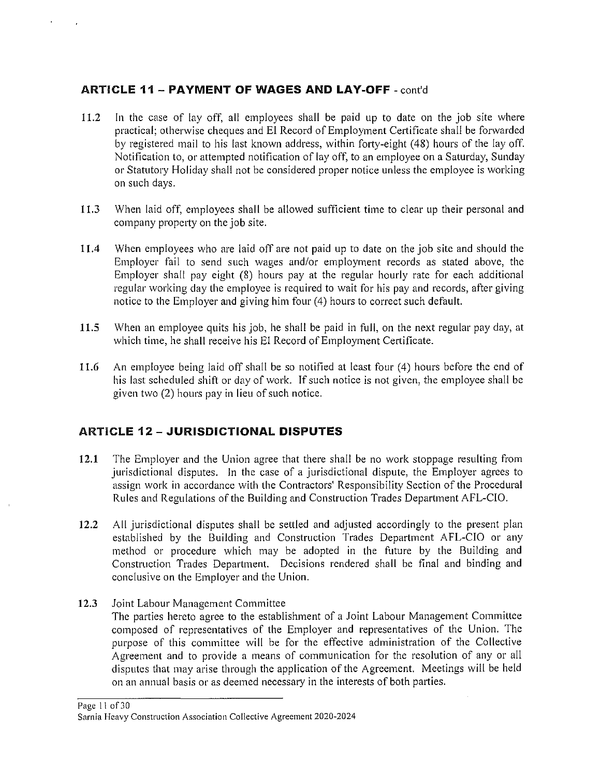#### **ARTICLE 11- PAYMENT OF WAGES AND LAY-OFF** -cont'd

- **11.2** In the case of lay off, all employees shall be paid up to date on the job site where practical; otherwise cheques and EI Record of Employment Certificate shall be forwarded by registered mail to his last known address, within forty-eight (48) hours of the lay off. Notification to, or attempted notification of lay off, to an employee on a Saturday, Sunday or Statutory Holiday shall not be considered proper notice unless the employee is working on such days.
- **11.3** When laid off, employees shall be allowed sufficient time to clear up their personal and company property on the job site.
- **11.4** When employees who are laid off are not paid up to date on the job site and should the Employer fail to send such wages and/or employment records as stated above, the Employer shall pay eight (8) hours pay at the regular hourly rate for each additional regular working day the employee is required to wait for his pay and records, after giving notice to the Employer and giving him four (4) hours to correct such default.
- **11.5** When an employee quits his job, he shall be paid in full, on the next regular pay day, at which time, he shall receive his EI Record of Employment Certificate.
- **11.6** An employee being laid off shall be so notified at least four ( 4) hours before the end of his last scheduled shift or day of work. If such notice is not given, the employee shall be given two (2) hours pay in lieu of such notice.

#### **ARTICLE 12 - JURISDICTIONAL DISPUTES**

- **12.1** The Employer and the Union agree that there shall be no work stoppage resulting from jurisdictional disputes. In the case of a jurisdictional dispute, the Employer agrees to assign work in accordance with the Contractors' Responsibility Section of the Procedural Rules and Regulations of the Building and Construction Trades Department AFL-CIO.
- **12.2** All jurisdictional disputes shall be settled and adjusted accordingly to the present plan established by the Building and Construction Trades Department AFL-CIO or any method or procedure which may be adopted in the future by the Building and Construction Trades Department. Decisions rendered shall be final and binding and conclusive on the Employer and the Union.
- **12.3** Joint Labour Management Committee The parties hereto agree to the establishment of a Joint Labour Management Committee composed of representatives of the Employer and representatives of the Union. The purpose of this committee will be for the effective administration of the Collective Agreement and to provide a means of communication for the resolution of any or all disputes that may arise through the application of the Agreement. Meetings will be held on an annual basis or as deemed necessary in the interests of both parties.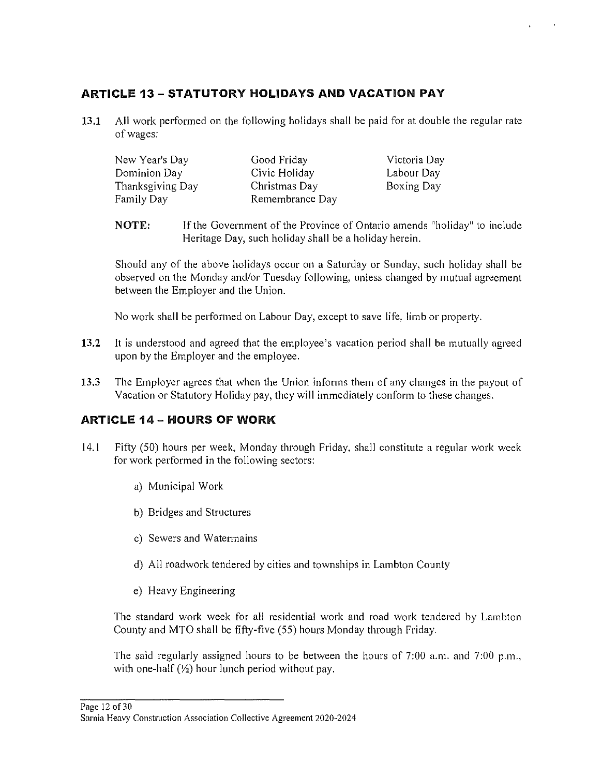## **ARTICLE 13- STATUTORY HOLIDAYS AND VACATION PAY**

**13.1** All work performed on the following holidays shall be paid for at double the regular rate of wages:

| New Year's Day   | Good Friday     | Victoria Day |
|------------------|-----------------|--------------|
| Dominion Day     | Civic Holiday   | Labour Day   |
| Thanksgiving Day | Christmas Day   | Boxing Day   |
| Family Day       | Remembrance Day |              |

**NOTE:** If the Government of the Province of Ontario amends "holiday" lo include Heritage Day, such holiday shall be a holiday herein.

Should any of the above holidays occur on a Saturday or Sunday, such holiday shall be observed on the Monday and/or Tuesday following, unless changed by mutual agreement between the Employer and the Union.

No work shall be performed on Labour Day, except to save life, limb or property.

- **13.2** It is understood and agreed that the employee's vacation period shall be mutually agreed upon by the Employer and the employee.
- **13.3** The Employer agrees that when the Union informs them of any changes in the payout of Vacation or Statutory Holiday pay, they will immediately conform to these changes.

## **ARTICLE 14- HOURS OF WORK**

- 14.1 Fifty (50) hours per week, Monday through Friday, shall constitute a regular work week for work performed in the following sectors:
	- a) Municipal Work
	- b) Bridges and Structures
	- c) Sewers and Watermains
	- d) All roadwork tendered by cities and townships in Lambton County
	- e) Heavy Engineering

The standard work week for all residential work and road work tendered by Lambton County and MTO shall be fifty-five (55) hours Monday through Friday.

The said regularly assigned hours to be between the hours of  $7:00$  a.m. and  $7:00$  p.m., with one-half  $(\frac{1}{2})$  hour lunch period without pay.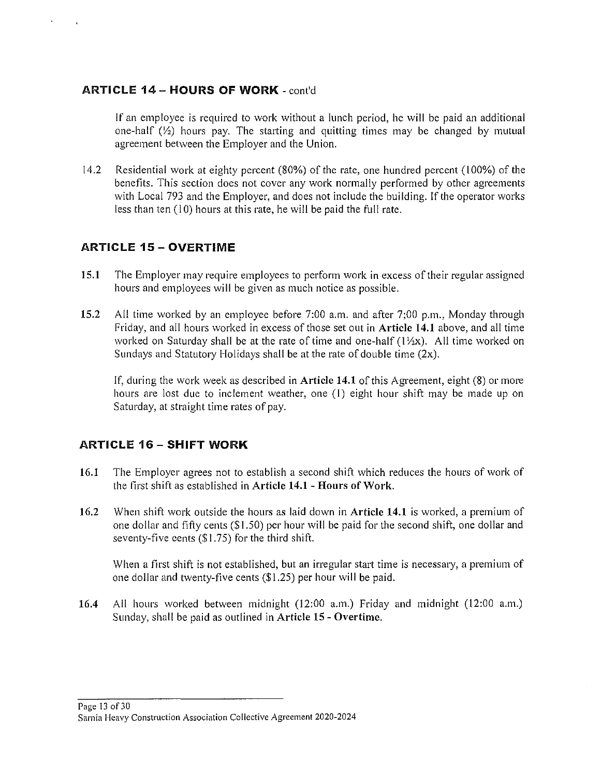#### ARTICLE 14 - HOURS OF WORK - cont'd

If an employee is required to work without a lunch period, he will be paid an additional one-half  $(\frac{1}{2})$  hours pay. The starting and quitting times may be changed by mutual agreement between the Employer and the Union.

14.2 Residential work at eighty percent (80%) of the rate, one hundred percent (I 00%) of the benefits. This section does not cover any work normally performed by other agreements with Local 793 and the Employer, and does not include the building. If the operator works less than ten (10) hours at this rate, he will be paid the full rate.

#### ARTICLE 15 - OVERTIME

- 15.1 The Employer may require employees to perform work in excess of their regular assigned hours and employees will be given as much notice as possible.
- 15.2 All time worked by an employee before 7:00 a.m. and after 7;00 p.m., Monday through Friday, and all hours worked in excess of those set out in Article 14.1 above, and all time worked on Saturday shall be at the rate of time and one-half  $(1/2x)$ . All time worked on Sundays and Statutory Holidays shall be at the rate of double time (2x).

If, during the work week as described in Article 14.1 of this Agreement, eight (8) or more hours are lost due to inclement weather, one (I) eight hour shift may be made up on Saturday, at straight time rates of pay.

#### ARTICLE 16- SHIFT WORK

- 16.l The Employer agrees not to establish a second shift which reduces the hours of work of the first shift as established in Article 14.1 - Hours of Work.
- 16.2 When shift work outside the hours as laid down in Article 14.1 is worked, a premium of one dollar and fifty cents (\$1.50) per hour will be paid for the second shift, one dollar and seventy-five cents (\$1.75) for the third shift.

When a first shift is not established, but an irregular start time is necessary, a premium of one dollar and twenty-five cents (\$1.25) per hour will be paid.

16.4 All hours worked between midnight (12:00 a.m.) Friday and midnight (12:00 a.m.) Sunday, shall be paid as outlined in Article 15 - Overtime.

Page 13 of30 Sarnia Heavy Construction Association Collective Agreement 2020-2024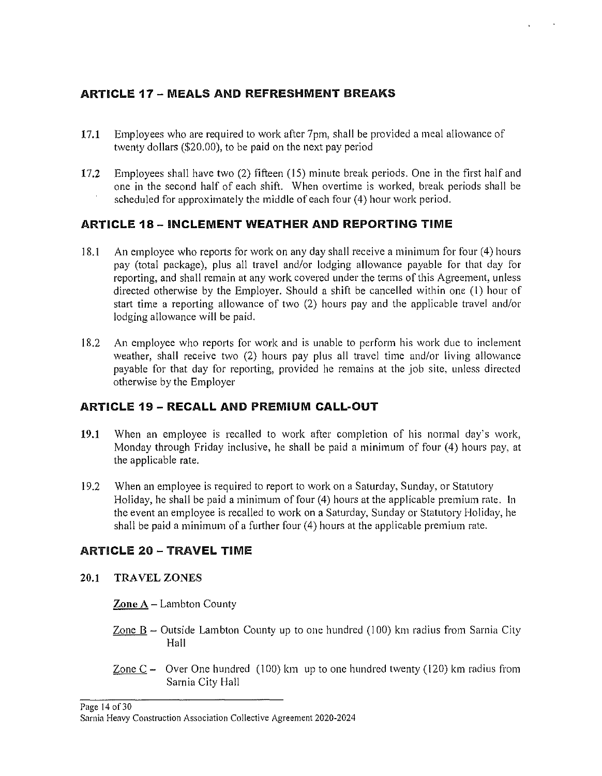#### ARTICLE 17- MEALS AND REFRESHMENT BREAKS

- 17.1 Employees who are required to work after 7pm, shall be provided a meal allowance of twenty dollars (\$20.00), to be paid on the next pay period
- 17.2 Employees shall have two (2) fifteen (15) minute break periods. One in the first half and one in the second half of each shift. When overtime is worked, break periods shall be scheduled for approximately the middle of each four (4) hour work period.

#### ARTICLE 18- INCLEMENT WEATHER AND REPORTING TIME

- 18.1 An employee who reports for work on any day shall receive a minimum for four (4) hours pay (total package), plus all travel and/or lodging allowance payable for that day for reporting, and shall remain at any work covered under the terms of this Agreement, unless directed otherwise by the Employer. Should a shift be cancelled within one (1) hour of start time a reporting allowance of two (2) hours pay and the applicable travel and/or lodging allowance will be paid.
- 18.2 An employee who reports for work and is unable to perform his work due to inclement weather, shall receive two (2) hours pay plus all travel time and/or living allowance payable for that day for reporting, provided he remains at the job site, unless directed otherwise by the Employer

#### ARTICLE 19 - RECALL AND PREMIUM CALL-OUT

- 19.1 When an employee is recalled to work after completion of his normal day's work, Monday through Friday inclusive, he shall be paid a minimum of four (4) hours pay, at the applicable rate.
- 19.2 When an employee is required to report to work on a Saturday, Sunday, or Statutory Holiday, he shall be paid a minimum of four (4) hours at the applicable premium rate. In the event an employee is recalled to work on a Saturday, Sunday or Statutory Holiday, he shall be paid a minimum of a further four (4) hours at the applicable premium rate.

#### ARTICLE 20 - TRAVEL TIME

20.1 TRAVEL ZONES

Zone A - Lambton County

- Zone  $B -$  Outside Lambton County up to one hundred (100) km radius from Sarnia City Hall
- Zone  $C -$  Over One hundred (100) km up to one hundred twenty (120) km radius from Samia City Hall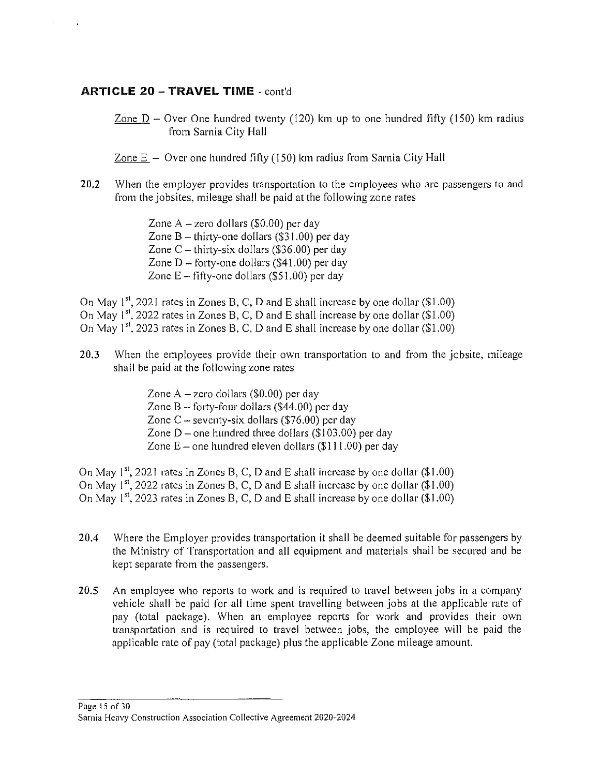#### **ARTICLE 20 - TRAVEL TIME** - cont'd

- Zone  $D -$  Over One hundred twenty (120) km up to one hundred fifty (150) km radius from Sarnia City Hall
- Zone  $E -$  Over one hundred fifty (150) km radius from Sarnia City Hall
- 20.2 When the employer provides transportation to the employees who are passengers to and from the jobsites, mileage shall be paid at the following zone rates
	- Zone  $A$  zero dollars (\$0.00) per day Zone  $B -$  thirty-one dollars (\$31.00) per day Zone  $C$  – thirty-six dollars (\$36.00) per day Zone  $D$  – forty-one dollars (\$41.00) per day Zone  $E$  – fifty-one dollars (\$51.00) per day

On May  $1^{st}$ , 2021 rates in Zones B, C, D and E shall increase by one dollar (\$1.00) On May  $1^{st}$ , 2022 rates in Zones B, C, D and E shall increase by one dollar (\$1.00) On May  $1^{st}$ , 2023 rates in Zones B, C, D and E shall increase by one dollar (\$1.00)

- 20.3 When the employees provide their own transportation to and from the jobsite, mileage shall be paid at the following zone rates
	- Zone  $A$  zero dollars (\$0.00) per day Zone  $B$  – forty-four dollars (\$44.00) per day Zone  $C$  – seventy-six dollars (\$76.00) per day Zone  $D$  – one hundred three dollars (\$103.00) per day Zone  $E$  – one hundred eleven dollars (\$111.00) per day

On May  $1^{st}$ , 2021 rates in Zones B, C, D and E shall increase by one dollar (\$1.00) On May  $1^{st}$ , 2022 rates in Zones B, C, D and E shall increase by one dollar (\$1.00) On May  $1^{st}$ , 2023 rates in Zones B, C, D and E shall increase by one dollar (\$1.00)

- 20.4 Where the Employer provides transportation it shall be deemed suitable for passengers by the Ministry of Transportation and all equipment and materials shall be secured and be kept separate from the passengers.
- 20.5 An employee who reports to work and is required to travel between jobs in a company vehicle shall be paid for all time spent travelling between jobs at the applicable rate of pay (total package). When an employee reports for work and provides their own transportation and is required to travel between jobs, the employee will be paid the applicable rate of pay (total package) plus the applicable Zone mileage amount.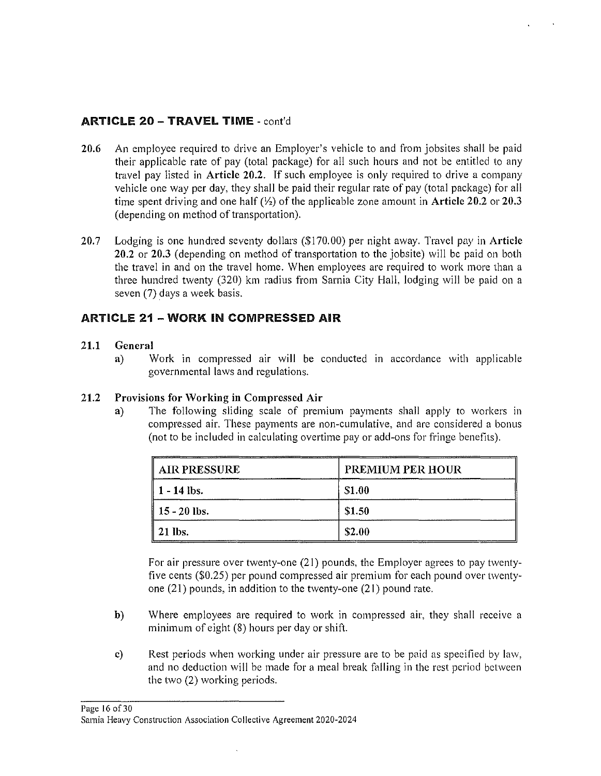#### ARTICLE 20 - TRAVEL TIME - cont'd

- 20.6 An employee required to drive an Employer's vehicle to and from jobsites shall be paid their applicable rate of pay (total package) for all such hours and not be entitled to any travel pay listed in Article 20.2. If such employee is only required to drive a company vehicle one way per day, they shall be paid their regular rate of pay (total package) for all time spent driving and one half *(Yi)* of the applicable zone amount in Article 20.2 or 20.3 (depending on method of transportation).
- 20.7 Lodging is one hundred seventy dollars (\$170.00) per night away. Travel pay in Article 20.2 or 20.3 (depending on method of transportation to the jobsite) will be paid on both the travel in and on the travel home. When employees are required to work more than a three hundred twenty (320) km radius from Sarnia City Hall, lodging will be paid on a seven (7) days a week basis.

#### **ARTICLE 21 - WORK IN COMPRESSED AIR**

#### 21.1 General

a) Work in compressed air will be conducted in accordance with applicable governmental laws and regulations.

#### 21.2 Provisions for Working in Compressed Air

a) The following sliding scale of premium payments shall apply to workers in compressed air. These payments are non-cumulative, and are considered a bonus (not to be included in calculating overtime pay or add-ons for fringe benefits).

| AIR PRESSURE             | <b>PREMIUM PER HOUR</b> |
|--------------------------|-------------------------|
| 1 - 14 lbs.              | \$1.00                  |
| $\parallel$ 15 - 20 lbs. | \$1.50                  |
| $\parallel$ 21 lbs.      | \$2.00                  |

For air pressure over twenty-one (21) pounds, the Employer agrees to pay twentyfive cents (\$0.25) per pound compressed air premium for each pound over twentyone (21) pounds, in addition to the twenty-one (21) pound rate.

- b) Where employees are required to work in compressed air, they shall receive a minimum of eight (8) hours per day or shift.
- c) Rest periods when working under air pressure are to be paid as specified by law, and no deduction will be made for a meal break falling in the rest period between the two (2) working periods.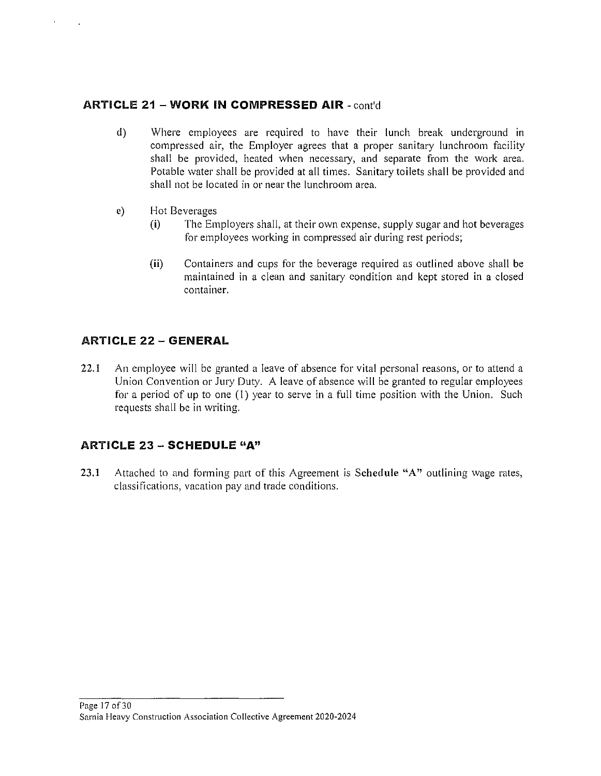#### **ARTICLE 21 - WORK IN COMPRESSED AIR** - cont'd

- d) Where employees are required to have their lunch break underground in compressed air, the Employer agrees that a proper sanitary lunchroom facility shall be provided, heated when necessary, and separate from the work area. Potable water shall be provided at all times. Sanitary toilets shall be provided and shall not be located in or near the lunchroom area.
- e) Hot Beverages
	- **(i)** The Employers shall, at their own expense, supply sugar and hot beverages for employees working in compressed air during rest periods;
	- **(ii)** Containers and cups for the beverage required as outlined above shall be maintained in a clean and sanitary condition and kept stored in a closed container.

#### **ARTICLE 22 - GENERAL**

22.1 An employee will be granted a leave of absence for vital personal reasons, or to attend a Union Convention or Jury Duty. A leave of absence will be granted to regular employees for a period of up to one {I) year to serve in a full time position with the Union. Such requests shall be in writing.

#### **ARTICLE 23 - SCHEDULE "A"**

23.1 Attached to and forming part of this Agreement is Schedule "A" outlining wage rates, classifications, vacation pay and trade conditions.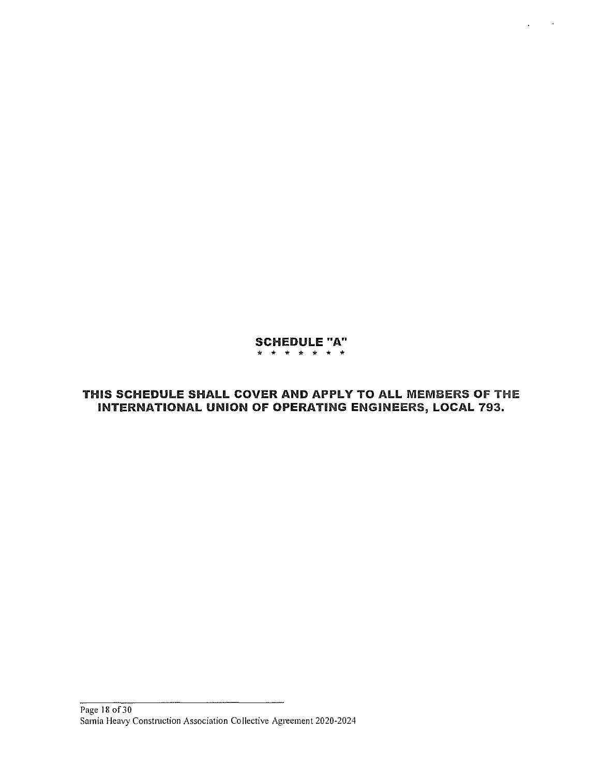#### SCHEDULE "A" \* \* \* \* \* \* \*

 $\ddot{\phantom{0}}$ 

#### THIS SCHEDULE SHALL COVER AND APPLY TO ALL MEMBERS OF THE INTERNATIONAL UNION OF OPERATING ENGINEERS, LOCAL 793.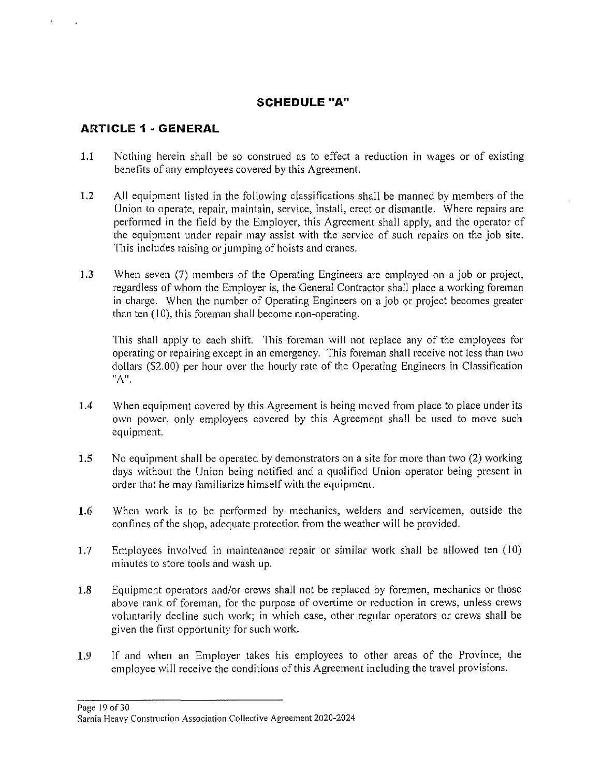#### **SCHEDULE "A"**

#### **ARTICLE 1 • GENERAL**

- **1.1** Nothing herein shall be so construed as to effect a reduction **in** wages or of existing benefits of any employees covered by this Agreement.
- 1.2 All equipment listed in the following classifications shall be manned by members of the Union to operate, repair, maintain, service, install, erect or dismantle. Where repairs are performed in the field by the Employer, this Agreement shall apply, and the operator of the equipment under repair may assist with the service of such repairs on the job site. This includes raising or jumping of hoists and cranes.
- **1.3** When seven (7) members of the Operating Engineers are employed on a job or project, regardless of whom the Employer is, the General Contractor shall place a working foreman in charge. When the number of Operating Engineers on a job or project becomes greater than ten (10), this foreman shall become non-operating.

This shall apply to each shift. This foreman will not replace any of the employees for operating or repairing except in an emergency. This foreman shall receive not less than two dollars (\$2.00) per hour over the hourly rate of the Operating Engineers in Classification **"An.** 

- 1.4 When equipment covered by this Agreement is being moved from place to place under its own power, only employees covered by this Agreement shall be used to move such equipment.
- **1.5** No equipment shall be operated by demonstrators on a site for more than two (2) working days without the Union being notified and a qualified Union operator being present in order that he may familiarize himself with the equipment.
- **1.6** When work is to be performed by mechanics, welders and servicemen, outside the confines of the shop, adequate protection from the weather will be provided.
- 1.7 Employees involved in maintenance repair or similar work shall be allowed ten (10) minutes to store tools and wash up.
- 1.8 Equipment operators and/or crews shall not be replaced by foremen, mechanics or those above rank of foreman, for the purpose of overtime or reduction in crews, unless crews voluntarily decline such work; in which case, other regular operators or crews shall be given the first opportunity for such work.
- **1.9** If and when an Employer takes his employees to other areas of the Province, the employee will receive the conditions of this Agreement including the travel provisions.

**Page 19of30**  Sarnia Heavy Construction Association Collective Agreement 2020-2024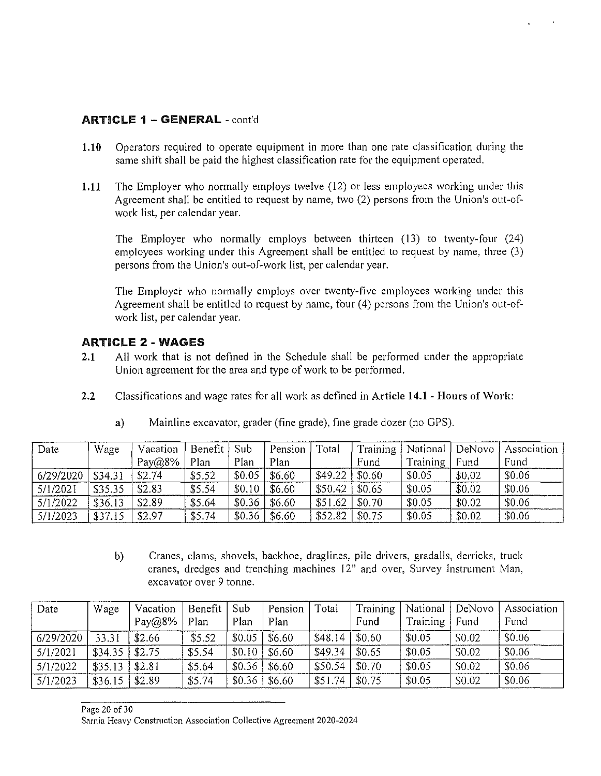#### ARTICLE 1 - GENERAL - cont'd

- 1.10 Operators required to operate equipment in more than one rate classification during the same shift shall be paid the highest classification rate for the equipment operated.
- 1.11 The Employer who normally employs twelve (12) or less employees working under this Agreement shall be entitled to request by name, two (2) persons from the Union's out-ofwork list, per calendar year.

The Employer who normally employs between thirteen (13) to twenty-four (24) employees working under this Agreement shall be entitled to request by name, three (3) persons from the Union's out-of-work list, per calendar year.

The Employer who normally employs over twenty-five employees working under this Agreement shall be entitled to request by name, four (4) persons from the Union's out-ofwork list, per calendar year.

#### ARTICLE 2 - WAGES

- 2.1 All work that is not defined in the Schedule shall be performed under the appropriate Union agreement for the area and type of work to be performed.
- 2.2 Classifications and wage rates for all work as defined in Article 14.1 Hours of Work:

| Date      | Wage    | Vacation  | Benefit | Sub    | Pension | Total   | Training | National l | DeNovo | Association |
|-----------|---------|-----------|---------|--------|---------|---------|----------|------------|--------|-------------|
|           |         | $Pay@8\%$ | Plan    | Plan   | Plan    |         | Fund     | Training   | Fund   | Fund        |
| 6/29/2020 | \$34.31 | \$2.74    | \$5.52  | \$0.05 | \$6.60  | \$49.22 | \$0.60   | \$0.05     | \$0.02 | \$0.06      |
| 5/1/2021  | \$35.35 | \$2.83    | \$5.54  | \$0.10 | \$6.60  | \$50.42 | \$0.65   | \$0.05     | \$0.02 | \$0.06      |
| 5/1/2022  | \$36.13 | \$2.89    | \$5.64  | \$0.36 | \$6.60  | \$51.62 | \$0.70   | \$0.05     | \$0.02 | \$0.06      |
| 5/1/2023  | \$37.15 | \$2.97    | \$5.74  | \$0.36 | \$6.60  | \$52.82 | \$0.75   | \$0.05     | \$0.02 | \$0.06      |

a) Mainline excavator, grader (fine grade), fine grade dozer (no GPS).

b) Cranes, clams, shovels, backhoe, draglines, pile drivers, gradalls, derricks, truck cranes, dredges and trenching machines 12" and over, Survey Instrument Man, excavator over 9 tonne.

| Date      | Wage    | Vacation<br>$Pay@8\%$ | Benefit<br>Plan | Sub<br>Plan | Pension<br>Plan | Total   | Training<br>Fund | National<br>Training | DeNovo<br>Fund | Association<br>Fund |
|-----------|---------|-----------------------|-----------------|-------------|-----------------|---------|------------------|----------------------|----------------|---------------------|
| 6/29/2020 | 33.31   | \$2.66                | \$5.52          | \$0.05      | \$6.60          | \$48.14 | \$0.60           | \$0.05               | \$0.02         | \$0.06              |
| 5/1/2021  | \$34.35 | \$2.75                | \$5.54          | \$0.10      | \$6.60          | \$49.34 | \$0.65           | \$0.05               | \$0.02         | \$0.06              |
| 5/1/2022  | \$35.13 | \$2.81                | \$5.64          | \$0.36      | \$6.60          | \$50.54 | \$0.70           | \$0.05               | \$0.02         | \$0.06              |
| 5/1/2023  | \$36.15 | \$2.89                | \$5.74          | \$0.36      | \$6.60          | \$51.74 | \$0.75           | \$0.05               | \$0.02         | \$0.06              |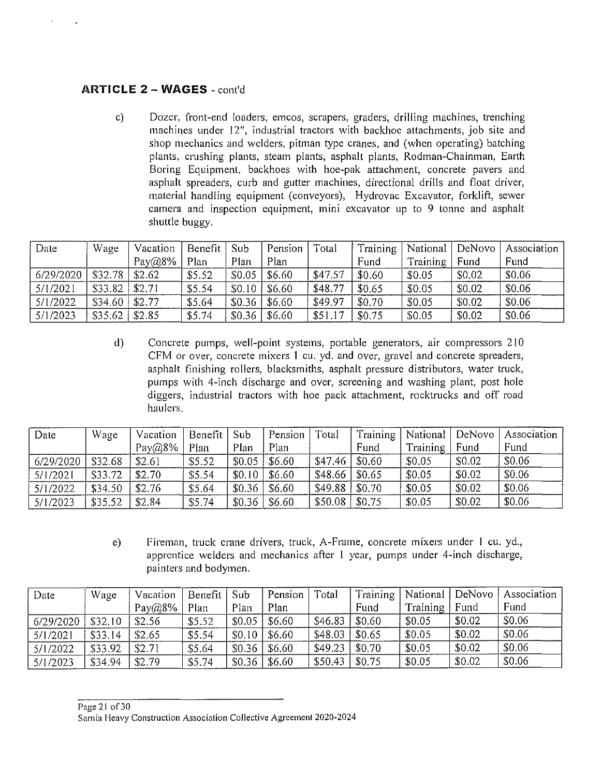#### **ARTICLE 2 - WAGES** - cont'd

c) Dozer, front-end loaders, emcos, scrapers, graders, drilling machines, trenching machines under 12", industrial tractors with backhoe attachments, job site and shop mechanics and welders, pitman type cranes, and (when operating) batching plants, crushing plants, steam plants, asphalt plants, Rodman-Chainman, Earth Boring Equipment, backhoes with hoe-pak attachment, concrete pavers and asphalt spreaders, curb and gutter machines, directional drills and float driver, material handling equipment (conveyors), Hydrovac Excavator, forklift, sewer camera and inspection equipment, mini excavator up to 9 tonne and asphalt shuttle buggy.

| Date      | Wage    | Vacation  | Benefit | $\mathsf{LSub}$ | Pension | Total   | Training |          | National   DeNovo | Association |
|-----------|---------|-----------|---------|-----------------|---------|---------|----------|----------|-------------------|-------------|
|           |         | $Pay@8\%$ | Plan    | Plan            | Plan    |         | Fund     | Training | Fund              | Fund        |
| 6/29/2020 | \$32.78 | \$2.62    | \$5.52  | \$0.05          | \$6.60  | \$47.57 | \$0.60   | \$0.05   | \$0.02            | \$0.06      |
| 5/1/2021  | \$33.82 | \$2.71    | \$5.54  | \$0.10          | \$6.60  | \$48.77 | \$0.65   | \$0.05   | \$0.02            | \$0.06      |
| 5/1/2022  | \$34.60 | \$2.77    | \$5.64  | \$0.36          | \$6.60  | \$49.97 | \$0.70   | \$0.05   | \$0.02            | \$0.06      |
| 5/1/2023  | \$35.62 | \$2.85    | \$5.74  | \$0.36          | \$6.60  | \$51.17 | \$0.75   | \$0.05   | \$0.02            | \$0.06      |

d) Concrete pumps, well-point systems, portable generators, air compressors 210 CFM or over, concrete mixers l cu. yd. and over, gravel and concrete spreaders, asphalt finishing rollers, blacksmiths, asphalt pressure distributors, water truck, pumps with 4-inch discharge and over, screening and washing plant, post hole diggers, industrial tractors with hoe pack attachment, rocktrucks and off road haulers.

| Date      | Wage    | Vacation   | Benefit | Sub    | Pension | Total   | Training |          | National   DeNovo | Association |
|-----------|---------|------------|---------|--------|---------|---------|----------|----------|-------------------|-------------|
|           |         | Pay $@8\%$ | Plan    | Plan   | Plan    |         | Fund     | Training | Fund              | Fund        |
| 6/29/2020 | \$32.68 | \$2.61     | \$5.52  | \$0.05 | \$6.60  | \$47.46 | \$0.60   | \$0.05   | \$0.02            | \$0.06      |
| 5/1/2021  | \$33.72 | \$2.70     | \$5.54  | \$0.10 | \$6.60  | \$48.66 | \$0.65   | \$0.05   | \$0.02            | \$0.06      |
| 5/1/2022  | \$34.50 | \$2.76     | \$5.64  | \$0.36 | \$6.60  | \$49.88 | \$0.70   | \$0.05   | \$0.02            | \$0.06      |
| 5/1/2023  | \$35.52 | \$2.84     | \$5.74  | \$0.36 | \$6.60  | \$50.08 | \$0.75   | \$0.05   | \$0.02            | \$0.06      |

e) Fireman, truck crane drivers, truck, A-Frame, concrete mixers under l cu. yd., apprentice welders and mechanics after l year, pumps under 4-inch discharge, painters and bodymen.

| Date      | Wage    | Vacation       | Benefit | Sub    | Pension | Total   | Training |                 | National   DeNovo | Association |
|-----------|---------|----------------|---------|--------|---------|---------|----------|-----------------|-------------------|-------------|
|           |         | Pay $(a)8\%$ . | Plan    | Plan   | Plan    |         | Fund     | <b>Training</b> | Fund              | Fund        |
| 6/29/2020 | \$32.10 | \$2.56         | \$5.52  | \$0.05 | \$6.60  | \$46.83 | \$0.60   | \$0.05          | \$0.02            | \$0.06      |
| 5/1/2021  | \$33.14 | \$2.65         | \$5.54  | \$0.10 | \$6.60  | \$48.03 | \$0.65   | \$0.05          | \$0.02            | \$0.06      |
| 5/1/2022  | \$33.92 | \$2.71         | \$5.64  | \$0.36 | \$6.60  | \$49.23 | \$0.70   | \$0.05          | \$0.02            | \$0.06      |
| 5/1/2023  | \$34.94 | \$2.79         | \$5.74  | \$0.36 | \$6.60  | \$50.43 | \$0.75   | \$0.05          | \$0.02            | \$0.06      |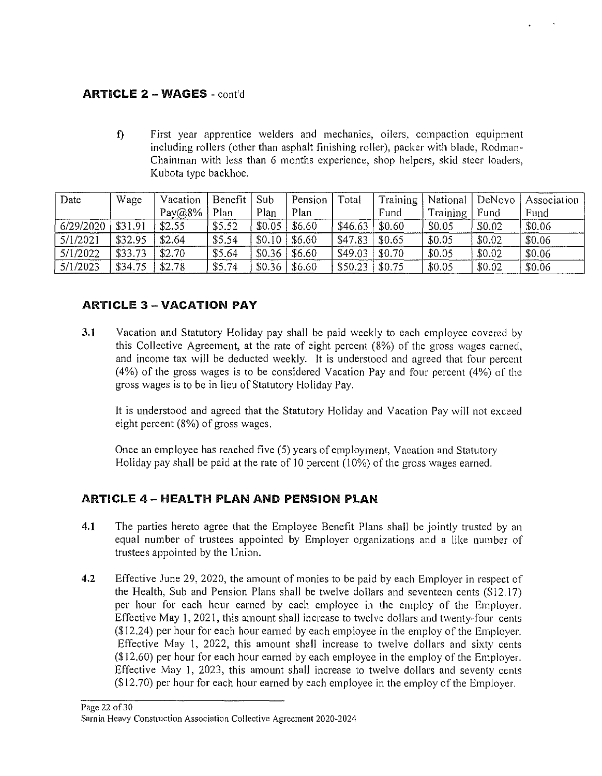#### ARTICLE 2 - WAGES - cont'd

f) First year apprentice welders and mechanics, oilers, compaction equipment including rollers (other than asphalt finishing roller), packer with blade, Rodman-Chainman with less than 6 months experience, shop helpers, skid steer loaders, Kubota type backhoe.

| Date      | Wage    | Vacation   | Benefit | Sub    | Pension              | <b>Total</b> | Training | National  | DeNovo | Association |
|-----------|---------|------------|---------|--------|----------------------|--------------|----------|-----------|--------|-------------|
|           |         | Pay $@8\%$ | Plan    | Plan   | Plan                 |              | Fund     | Training, | Fund   | Fund        |
| 6/29/2020 | \$31.91 | \$2.55     | \$5.52  | \$0.05 | \$6.60               | \$46.63      | \$0.60   | \$0.05    | \$0.02 | \$0.06      |
| 5/1/2021  | \$32.95 | \$2.64     | \$5.54  | \$0.10 | \$6.60               | \$47.83      | \$0.65   | \$0.05    | \$0.02 | \$0.06      |
| 5/1/2022  | \$33.73 | \$2.70     | \$5.64  | \$0.36 | $\frac{1}{6}$ \$6.60 | \$49.03      | \$0.70   | \$0.05    | \$0.02 | \$0.06      |
| 5/1/2023  | \$34.75 | \$2.78     | \$5.74  | \$0.36 | \$6.60               | \$50.23      | \$0.75   | \$0.05    | \$0.02 | \$0.06      |

#### ARTICLE 3 - VACATION PAY

3.1 Vacation and Statutory Holiday pay shall be paid weekly to each employee covered by this Collective Agreement, at the rate of eight percent (8%) of the gross wages earned, and income tax will be deducted weekly. It is understood and agreed that four percent (4%) of the gross wages is to be considered Vacation Pay and four percent (4%) of the gross wages is to be in lieu of Statutory Holiday Pay.

It is understood and agreed that the Statutory Holiday and Vacation Pay will not exceed eight percent (8%) of gross wages.

Once an employee has reached five (5) years of employment, Vacation and Statutory Holiday pay shall be paid at the rate of IO percent (10%) of the gross wages earned.

#### ARTICLE 4 - HEALTH PLAN AND PENSION PLAN

- 4.1 The parties hereto agree that the Employee Benefit Plans shall be jointly trusted by an equal number of trustees appointed by Employer organizations and a like number of trustees appointed by the Union.
- 4.2 Effective June 29, 2020, the amount of monies to be paid by each Employer in respect of the Health, Sub and Pension Plans shall be twelve dollars and seventeen cents (\$12.17) per hour for each hour earned by each employee in the employ of the Employer. Effective May I, 2021, this amount shall increase to twelve dollars and twenty-four cents (\$12.24) per hour for each hour earned by each employee in the employ of the Employer. Effective May l, 2022, this amount shall increase to twelve dollars and sixty cents (\$12.60) per hour for each hour earned by each employee in the employ of the Employer. Effective May 1, 2023, this amount shall increase to twelve dollars and seventy cents (\$12.70) per hour for each hour earned by each employee in the employ of the Employer.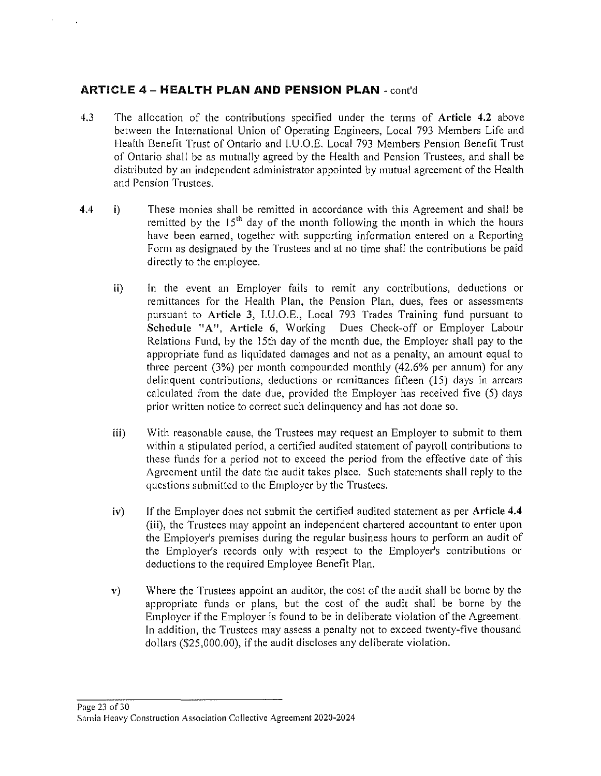#### ARTICLE 4 - **HEAL TH PLAN AND PENSION PLAN** - cont'd

- 4.3 The allocation of the contributions specified under the terms of Article 4.2 above between the International Union of Operating Engineers, Local 793 Members Life and Health Benefit Trust of Ontario and 1.U.O.E. Local 793 Members Pension Benefit Trust of Ontario shall be as mutually agreed by the Health and Pension Trustees, and shall be distributed by an independent administrator appointed by mutual agreement of the Health and Pension Trustees.
- 4.4 i) These monies shall be remitted in accordance with this Agreement and shall be remitted by the  $15<sup>th</sup>$  day of the month following the month in which the hours have been earned, together with supporting information entered on a Reporting Form as designated by the Trustees and at no time shall the contributions be paid directly to the employee.
	- **ii)** In the event an Employer fails to remit any contributions, deductions or remittances for the Health Plan, the Pension Plan, dues, fees or assessments pursuant to Article 3, l.U.O.E., Local 793 Trades Training fund pursuant to Schedule "A", Article 6, Working Dues Check-off or Employer Labour Relations Fund, by the 15th day of the month due, the Employer shall pay to the appropriate fund as liquidated damages and not as a penalty, an amount equal to three percent (3%) per month compounded monthly (42.6% per annum) for any delinquent contributions, deductions or remittances fifteen (15) days in arrears calculated from the date due, provided the Employer has received five (5) days prior written notice to correct such delinquency and has not done so.
	- iii) With reasonable cause, the Trustees may request an Employer to submit to them within a stipulated period, a certified audited statement of payroll contributions to these funds for a period not to exceed the period from the effective date of this Agreement until the date the audit takes place. Such statements shall reply to the questions submitted to the Employer by the Trustees.
	- iv) If the Employer does not submit the certified audited statement as per Article **4.4**  (iii), the Trustees may appoint an independent chartered accountant to enter upon the Employer's premises during the regular business hours to perform an audit of the Employer's records only with respect to the Employer's contributions or deductions to the required Employee Benefit Plan.
	- v) Where the Trustees appoint an auditor, the cost of the audit shall be borne by the appropriate funds or plans, but the cost of the audit shall be borne by the Employer if the Employer is found to be in deliberate violation of the Agreement. In addition, the Trustees may assess a penalty not to exceed twenty-five thousand dollars (\$25,000.00), if the audit discloses any deliberate violation.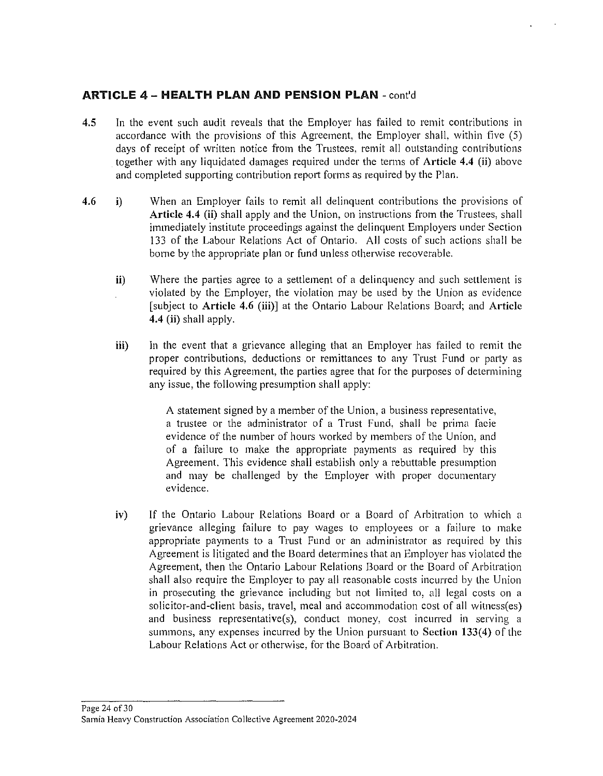#### **ARTICLE 4 - HEALTH PLAN AND PENSION PLAN - cont'd**

- 4.5 In the event such audit reveals that the Employer has failed to remit contributions in accordance with the provisions of this Agreement, the Employer shall, within five (5) days of receipt of written notice from the Trustees, remit all outstanding contributions together with any liquidated damages required under the terms of Article 4.4 (ii) above and completed supporting contribution report forms as required by the Plan.
- 4.6 i) When an Employer fails to remit all delinquent contributions the provisions of Article 4.4 (ii) shall apply and the Union, on instructions from the Trustees, shall immediately institute proceedings against the delinquent Employers under Section 133 of the Labour Relations Act of Ontario. All costs of such actions shall be borne by the appropriate plan or fund unless otherwise recoverable.
	- ii) Where the parties agree to a settlement of a delinquency and such settlement is violated by the Employer, the violation may be used by the Union as evidence [subject to Article 4.6 (iii)] at the Ontario Labour Relations Board; and Article 4.4 (ii) shall apply.
	- iii) In the event that a grievance alleging that an Employer has failed to remit the proper contributions, deductions or remittances to any Trust Fund or party as required by this Agreement, the parties agree that for the purposes of determining any issue, the following presumption shall apply:

A statement signed by a member of the Union, a business representative, a trustee or the administrator of a Trust Fund, shall be prima facie evidence of the number of hours worked by members of the Union, and of a failure to make the appropriate payments as required by this Agreement. This evidence shall establish only a rebuttable presumption and may be challenged by the Employer with proper documentary evidence.

iv) If the Ontario Labour Relations Board or a Board of Arbitration to which a grievance alleging failure to pay wages to employees or a failure to make appropriate payments to a Trust Fund or an administrator as required by this Agreement is litigated and the Board determines that an Employer has violated the Agreement, then the Ontario Labour Relations Board or the Board of Arbitration shall also require the Employer to pay all reasonable costs incurred by the Union in prosecuting the grievance including but not limited to, all legal costs on a solicitor-and-client basis, travel, meal and accommodation cost of all witness(es) and business representative(s), conduct money, cost incurred in serving a summons, any expenses incurred by the Union pursuant to Section 133(4) of the Labour Relations Act or otherwise, for the Board of Arbitration.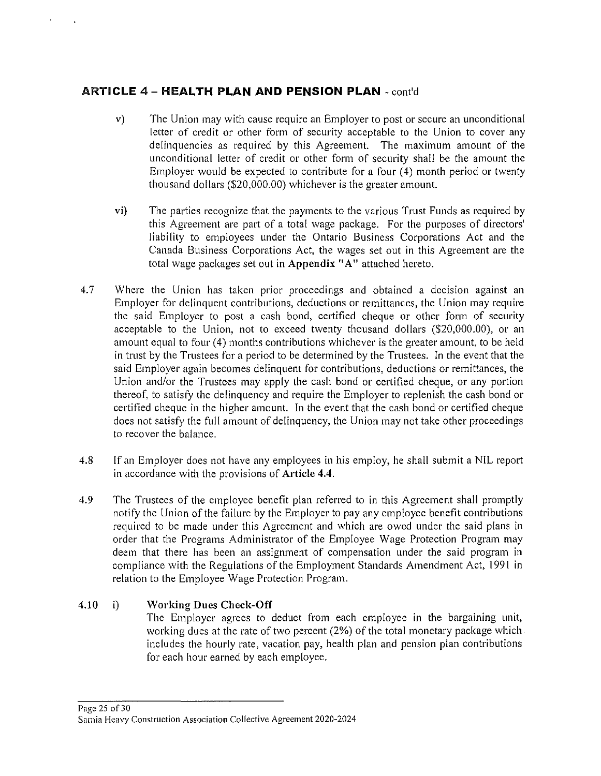#### **ARTICLE** 4 - **HEAL TH PLAN AND PENSION PLAN** - cont'd

- v) The Union may with cause require an Employer to post or secure an unconditional letter of credit or other form of security acceptable to the Union to cover any delinquencies as required by this Agreement. The maximum amount of the unconditional letter of credit or other form of security shall be the amount the Employer would be expected to contribute for a four (4) month period or twenty thousand dollars (\$20,000.00) whichever is the greater amount.
- vi) The parties recognize that the payments to the various Trust Funds as required by this Agreement are part of a total wage package. For the purposes of directors' liability to employees under the Ontario Business Corporations Act and the Canada Business Corporations Act, the wages set out in this Agreement are the total wage packages set out in Appendix "A" attached hereto.
- 4.7 Where the Union has taken prior proceedings and obtained a decision against an Employer for delinquent contributions, deductions or remittances, the Union may require the said Employer to post a cash bond, certified cheque or other form of security acceptable to the Union, not to exceed twenty thousand dollars (\$20,000.00), or an amount equal to four (4) months contributions whichever is the greater amount, to be held in trust by the Trustees for a period to be determined by the Trustees. In the event that the said Employer again becomes delinquent for contributions, deductions or remittances, the Union and/or the Trustees may apply the cash bond or certified cheque, or any portion thereof, to satisfy the delinquency and require the Employer to replenish the cash bond or certified cheque in the higher amount. In the event that the cash bond or certified cheque does not satisfy the full amount of delinquency, the Union may not take other proceedings to recover the balance.
- 4.8 If an Employer does not have any employees in his employ, he shall submit a NIL report in accordance with the provisions of Article **4.4.**
- 4.9 The Trustees of the employee benefit plan referred to in this Agreement shall promptly notify the Union of the failure by the Employer to pay any employee benefit contributions required to be made under this Agreement and which are owed under the said plans in order that the Programs Administrator of the Employee Wage Protection Program may deem that there has been an assignment of compensation under the said program in compliance with the Regulations of the Employment Standards Amendment Act, 199I in relation to the Employee Wage Protection Program.

#### $4.10$  i) Working Dues Check-Off

The Employer agrees to deduct from each employee in the bargaining unit, working dues at the rate of two percent (2%) of the total monetary package which includes the hourly rate, vacation pay, health plan and pension plan contributions for each hour earned by each employee.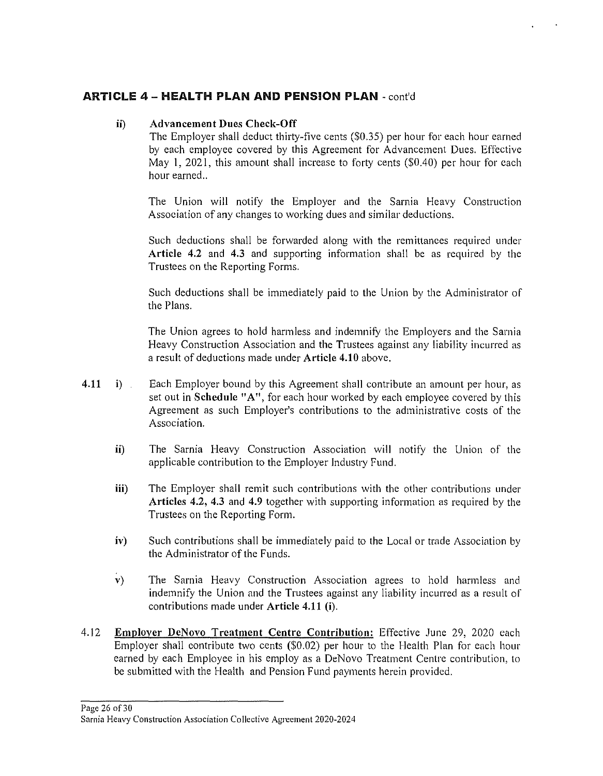#### **ARTICLE 4 - HEAL TH PLAN AND PENSION PLAN** - cont'd

#### **ii) Advancement Dues Check-Off**

The Employer shall deduct thirty-five cents (\$0.35) per hour for each hour earned by each employee covered by this Agreement for Advancement Dues. Effective May **1,** 2021, this amount shall increase to forty cents (\$0.40) per hour for each hour earned..

The Union will notify the Employer and the Sarnia Heavy Construction Association of any changes to working dues and similar deductions.

Such deductions shall be forwarded along with the remittances required under **Article 4.2** and **4.3** and supporting information shall be as required by the Trustees on the Reporting Forms.

Such deductions shall be immediately paid to the Union by the Administrator of the Plans.

The Union agrees to hold harmless and indemnify the Employers and the Sarnia Heavy Construction Association and the Trustees against any liability incurred as a result of deductions made under **Article 4.10** above.

- **4.11 i)**  Each Employer bound by this Agreement shall contribute an amount per hour, as set out in **Schedule "A",** for each hour worked by each employee covered by this Agreement as such Employer's contributions to the administrative costs of the Association.
	- **ii)** The Sarnia Heavy Construction Association will notify the Union of the applicable contribution to the Employer Industry Fund.
	- **iii)** The Employer shall remit such contributions with the other contributions under **Articles 4.2, 4.3** and **4.9** together with supporting information as required by the Trustees on the Reporting Form.
	- **iv**) Such contributions shall be immediately paid to the Local or trade Association by the Administrator of the Funds.
	- **v)** The Sarnia Heavy Construction Association agrees to hold harmless and indemnify the Union and the Trustees against any liability incurred as a result of contributions made under **Article 4.11 (i).**
- 4.12 **Employer DeNovo Treatment Centre Contribution:** Effective June 29, 2020 each Employer shall contribute two cents (\$0.02) per hour to the Health Plan for each hour earned by each Employee in his employ as a DeNovo Treatment Centre contribution, to be submitted with the Health and Pension Fund payments herein provided.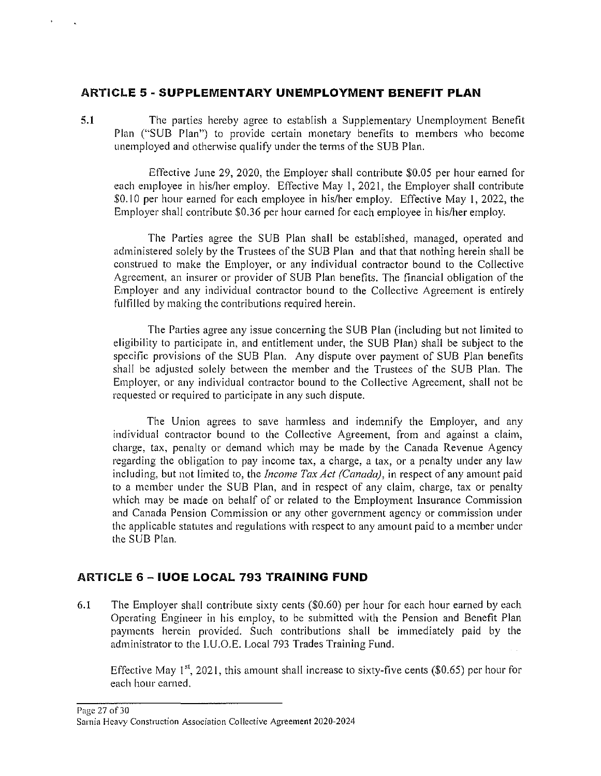#### **ARTICLE 5 - SUPPLEMENTARY UNEMPLOYMENT BENEFIT PLAN**

**5.1** The parties hereby agree to establish a Supplementary Unemployment Benefit Plan ("SUB Plan") to provide certain monetary benefits to members who become unemployed and otherwise qualify under the terms of the SUB Plan.

Effective June 29, 2020, the Employer shall contribute \$0.05 per hour earned for each employee in his/her employ. Effective May 1, 2021, the Employer shall contribute \$0.10 per hour earned for each employee in his/her employ. Effective May 1, 2022, the Employer shall contribute \$0.36 per hour earned for each employee in his/her employ.

The Parties agree the SUB Plan shall be established, managed, operated and administered solely by the Trustees of the SUB Plan and that that nothing herein shall be construed to make the Employer, or any individual contractor bound to the Collective Agreement, an insurer or provider of SUB Plan benefits. The financial obligation of the Employer and any individual contractor bound to the Collective Agreement is entirely fulfilled by making the contributions required herein.

The Parties agree any issue concerning the SUB Plan (including but not limited to eligibility to participate in, and entitlement under, the SUB Plan) shall be subject to the specific provisions of the SUB Plan. Any dispute over payment of SUB Plan benefits shall be adjusted solely between the member and the Trustees of the SUB Plan. The Employer, or any individual contractor bound to the Collective Agreement, shall not be requested or required to participate in any such dispute.

The Union agrees to save harmless and indemnify the Employer, and any individual contractor bound to the Collective Agreement, from and against a claim, charge, tax, penalty or demand which may be made by the Canada Revenue Agency regarding the obligation to pay income tax, a charge, a tax, or a penalty under any law including, but not limited to, the *Income Tax Act (Canada),* in respect of any amount paid to a member under the SUB Plan, and in respect of any claim, charge, tax or penalty which may be made on behalf of or related to the Employment Insurance Commission and Canada Pension Commission or any other government agency or commission under the applicable statutes and regulations with respect to any amount paid to a member under the SUB Plan.

## **ARTICLE 6 - IUOE LOCAL 793 TRAINING FUND**

6.1 The Employer shall contribute sixty cents (\$0.60) per hour for each hour earned by each Operating Engineer in his employ, to be submitted with the Pension and Benefit Plan payments herein provided. Such contributions shall be immediately paid by the administrator to the l.U.O.E. Local 793 Trades Training Fund.

Effective May 1<sup>st</sup>, 2021, this amount shall increase to sixty-five cents (\$0.65) per hour for each hour earned.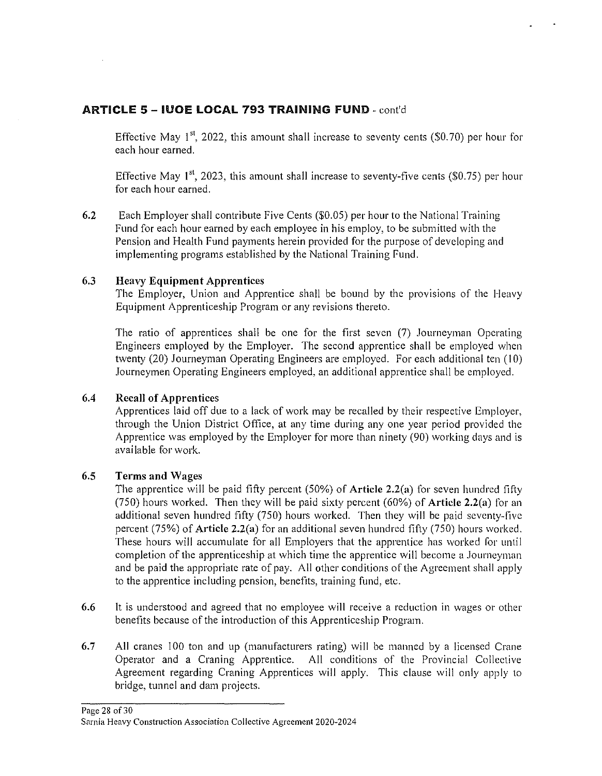#### ARTICLE 5 - IUOE LOCAL 793 TRAINING FUND - cont'd

Effective May  $1^{st}$ , 2022, this amount shall increase to seventy cents (\$0.70) per hour for each hour earned.

Effective May  $1^{st}$ , 2023, this amount shall increase to seventy-five cents (\$0.75) per hour for each hour earned.

6.2 Each Employer shall contribute Five Cents (\$0.05) per hour to the National Training Fund for each hour earned by each employee in his employ, to be submitted with the Pension and Health Fund payments herein provided for the purpose of developing and implementing programs established by the National Training Fund.

#### 6.3 Heavy Equipment Apprentices

The Employer, Union and Apprentice shall be bound by the provisions of the Heavy Equipment Apprenticeship Program or any revisions thereto.

The ratio of apprentices shall be one for the first seven (7) Journeyman Operating Engineers employed by the Employer. The second apprentice shall be employed when twenty (20) Journeyman Operating Engineers are employed. For each additional ten (10) Journeymen Operating Engineers employed, an additional apprentice shall be employed.

#### 6.4 Recall of Apprentices

Apprentices laid off due to a lack of work may be recalled by their respective Employer, through the Union District Office, at any time during any one year period provided the Apprentice was employed by the Employer for more than ninety (90) working days and is available for work.

#### 6.5 Terms and Wages

The apprentice will be paid fifty percent (50%) of Article 2.2(a) for seven hundred fifty (750) hours worked. Then they will be paid sixty percent (60%) of Article  $2.2(a)$  for an additional seven hundred fifty (750) hours worked. Then they will be paid seventy-five percent (75%) of **Article 2.2(a)** for an additional seven hundred fifty (750) hours worked. These hours will accumulate for all Employers that the apprentice has worked for until completion of the apprenticeship at which time the apprentice will become a Journeyman and be paid the appropriate rate of pay. All other conditions of the Agreement shall apply to the apprentice including pension, benefits, training fund, etc.

- 6.6 It is understood and agreed that no employee will receive a reduction in wages or other benefits because of the introduction of this Apprenticeship Program.
- 6.7 All cranes 100 ton and up (manufacturers rating) will be manned by a licensed Crane Operator and a Craning Apprentice. All conditions of the Provincial Collective Agreement regarding Craning Apprentices will apply. This clause will only apply to bridge, tunnel and dam projects.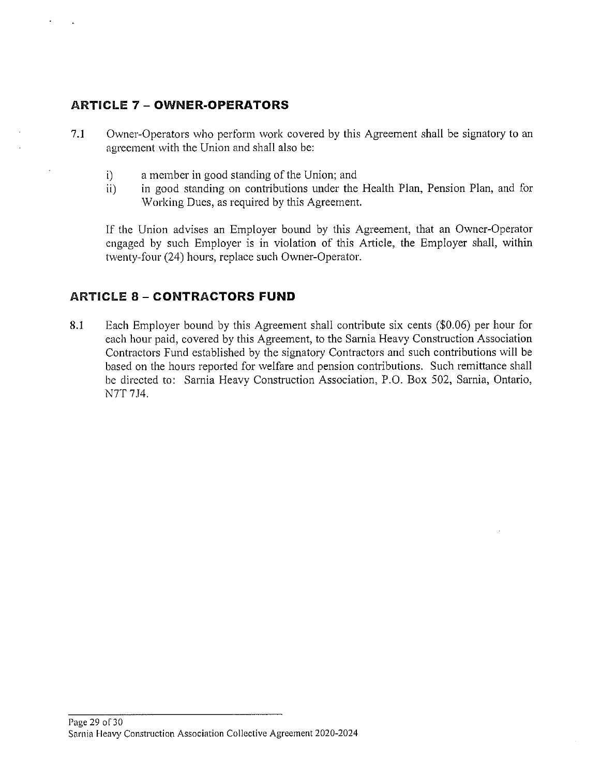## **ARTICLE 7 - OWNER-OPERATORS**

- 7.1 Owner-Operators who perform work covered by this Agreement shall be signatory to an agreement with the Union and shall also be:
	- i) a member in good standing of the Union; and
	- ii) in good standing on contributions under the Health Plan, Pension Plan, and for Working Dues, as required by this Agreement.

If the Union advises an Employer bound by this Agreement, that an Owner-Operator engaged by such Employer is in violation of this Article, the Employer shall, within twenty-four (24) hours, replace such Owner-Operator.

#### **ARTICLE 8 - CONTRACTORS FUND**

8.1 Each Employer bound by this Agreement shall contribute six cents (\$0.06) per hour for each hour paid, covered by this Agreement, to the Sarnia Heavy Construction Association Contractors Fund established by the signatory Contractors and such contributions will be based on the hours reported for welfare and pension contributions. Such remittance shall be directed to: Sarnia Heavy Construction Association, P.O. Box 502, Sarnia, Ontario, N7T 7J4.